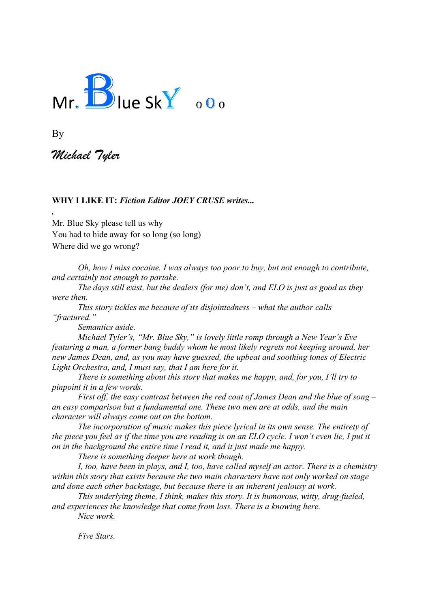

By

*.*

*Michael Tyler*

#### **WHY I LIKE IT:** *Fiction Editor JOEY CRUSE writes...*

Mr. Blue Sky please tell us why You had to hide away for so long (so long) Where did we go wrong?

*Oh, how I miss cocaine. I was always too poor to buy, but not enough to contribute, and certainly not enough to partake.* 

*The days still exist, but the dealers (for me) don't, and ELO is just as good as they were then.*

*This story tickles me because of its disjointedness – what the author calls "fractured."* 

*Semantics aside.* 

*Michael Tyler's, "Mr. Blue Sky," is lovely little romp through a New Year's Eve featuring a man, a former bang buddy whom he most likely regrets not keeping around, her new James Dean, and, as you may have guessed, the upbeat and soothing tones of Electric Light Orchestra, and, I must say, that I am here for it.* 

*There is something about this story that makes me happy, and, for you, I'll try to pinpoint it in a few words.*

*First off, the easy contrast between the red coat of James Dean and the blue of song – an easy comparison but a fundamental one. These two men are at odds, and the main character will always come out on the bottom.*

*The incorporation of music makes this piece lyrical in its own sense. The entirety of the piece you feel as if the time you are reading is on an ELO cycle. I won't even lie, I put it on in the background the entire time I read it, and it just made me happy.* 

*There is something deeper here at work though.* 

*I, too, have been in plays, and I, too, have called myself an actor. There is a chemistry within this story that exists because the two main characters have not only worked on stage and done each other backstage, but because there is an inherent jealousy at work.*

*This underlying theme, I think, makes this story. It is humorous, witty, drug-fueled, and experiences the knowledge that come from loss. There is a knowing here.* 

*Nice work.*

*Five Stars.*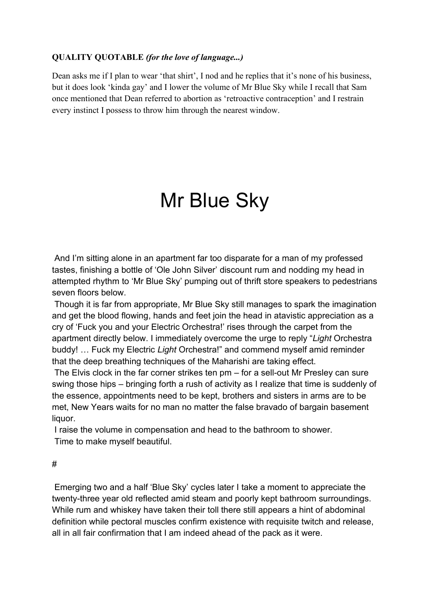#### **QUALITY QUOTABLE** *(for the love of language...)*

Dean asks me if I plan to wear 'that shirt', I nod and he replies that it's none of his business, but it does look 'kinda gay' and I lower the volume of Mr Blue Sky while I recall that Sam once mentioned that Dean referred to abortion as 'retroactive contraception' and I restrain every instinct I possess to throw him through the nearest window.

# Mr Blue Sky

And I'm sitting alone in an apartment far too disparate for a man of my professed tastes, finishing a bottle of 'Ole John Silver' discount rum and nodding my head in attempted rhythm to 'Mr Blue Sky' pumping out of thrift store speakers to pedestrians seven floors below.

Though it is far from appropriate, Mr Blue Sky still manages to spark the imagination and get the blood flowing, hands and feet join the head in atavistic appreciation as a cry of 'Fuck you and your Electric Orchestra!' rises through the carpet from the apartment directly below. I immediately overcome the urge to reply "*Light* Orchestra buddy! … Fuck my Electric *Light* Orchestra!" and commend myself amid reminder that the deep breathing techniques of the Maharishi are taking effect.

The Elvis clock in the far corner strikes ten pm – for a sell-out Mr Presley can sure swing those hips – bringing forth a rush of activity as I realize that time is suddenly of the essence, appointments need to be kept, brothers and sisters in arms are to be met, New Years waits for no man no matter the false bravado of bargain basement liquor.

I raise the volume in compensation and head to the bathroom to shower. Time to make myself beautiful.

#

Emerging two and a half 'Blue Sky' cycles later I take a moment to appreciate the twenty-three year old reflected amid steam and poorly kept bathroom surroundings. While rum and whiskey have taken their toll there still appears a hint of abdominal definition while pectoral muscles confirm existence with requisite twitch and release, all in all fair confirmation that I am indeed ahead of the pack as it were.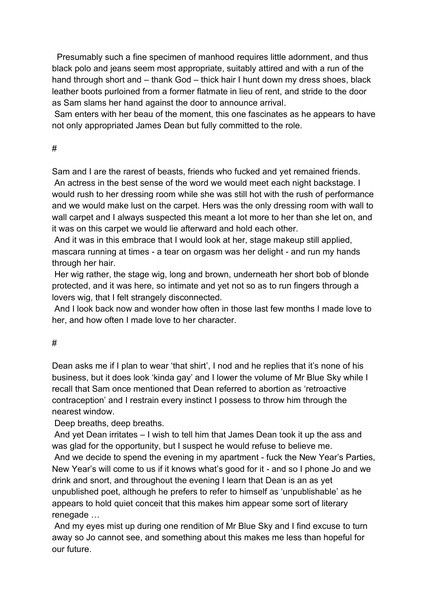Presumably such a fine specimen of manhood requires little adornment, and thus black polo and jeans seem most appropriate, suitably attired and with a run of the hand through short and – thank God – thick hair I hunt down my dress shoes, black leather boots purloined from a former flatmate in lieu of rent, and stride to the door as Sam slams her hand against the door to announce arrival.

Sam enters with her beau of the moment, this one fascinates as he appears to have not only appropriated James Dean but fully committed to the role.

# #

Sam and I are the rarest of beasts, friends who fucked and yet remained friends. An actress in the best sense of the word we would meet each night backstage. I would rush to her dressing room while she was still hot with the rush of performance and we would make lust on the carpet. Hers was the only dressing room with wall to wall carpet and I always suspected this meant a lot more to her than she let on, and it was on this carpet we would lie afterward and hold each other.

And it was in this embrace that I would look at her, stage makeup still applied, mascara running at times - a tear on orgasm was her delight - and run my hands through her hair.

Her wig rather, the stage wig, long and brown, underneath her short bob of blonde protected, and it was here, so intimate and yet not so as to run fingers through a lovers wig, that I felt strangely disconnected.

And I look back now and wonder how often in those last few months I made love to her, and how often I made love to her character.

# #

Dean asks me if I plan to wear 'that shirt', I nod and he replies that it's none of his business, but it does look 'kinda gay' and I lower the volume of Mr Blue Sky while I recall that Sam once mentioned that Dean referred to abortion as 'retroactive contraception' and I restrain every instinct I possess to throw him through the nearest window.

Deep breaths, deep breaths.

And yet Dean irritates – I wish to tell him that James Dean took it up the ass and was glad for the opportunity, but I suspect he would refuse to believe me.

And we decide to spend the evening in my apartment - fuck the New Year's Parties, New Year's will come to us if it knows what's good for it - and so I phone Jo and we drink and snort, and throughout the evening I learn that Dean is an as yet unpublished poet, although he prefers to refer to himself as 'unpublishable' as he appears to hold quiet conceit that this makes him appear some sort of literary renegade …

And my eyes mist up during one rendition of Mr Blue Sky and I find excuse to turn away so Jo cannot see, and something about this makes me less than hopeful for our future.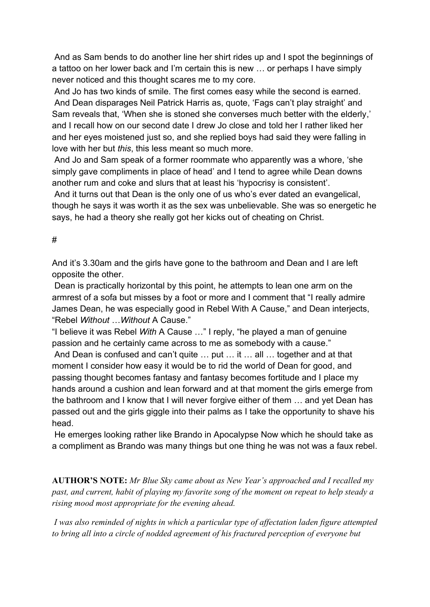And as Sam bends to do another line her shirt rides up and I spot the beginnings of a tattoo on her lower back and I'm certain this is new … or perhaps I have simply never noticed and this thought scares me to my core.

And Jo has two kinds of smile. The first comes easy while the second is earned. And Dean disparages Neil Patrick Harris as, quote, 'Fags can't play straight' and Sam reveals that, 'When she is stoned she converses much better with the elderly,' and I recall how on our second date I drew Jo close and told her I rather liked her and her eyes moistened just so, and she replied boys had said they were falling in love with her but *this*, this less meant so much more.

And Jo and Sam speak of a former roommate who apparently was a whore, 'she simply gave compliments in place of head' and I tend to agree while Dean downs another rum and coke and slurs that at least his 'hypocrisy is consistent'.

And it turns out that Dean is the only one of us who's ever dated an evangelical, though he says it was worth it as the sex was unbelievable. She was so energetic he says, he had a theory she really got her kicks out of cheating on Christ.

### #

And it's 3.30am and the girls have gone to the bathroom and Dean and I are left opposite the other.

Dean is practically horizontal by this point, he attempts to lean one arm on the armrest of a sofa but misses by a foot or more and I comment that "I really admire James Dean, he was especially good in Rebel With A Cause," and Dean interjects, "Rebel *Without* …*Without* A Cause."

"I believe it was Rebel *With* A Cause …" I reply, "he played a man of genuine passion and he certainly came across to me as somebody with a cause."

And Dean is confused and can't quite … put … it … all … together and at that moment I consider how easy it would be to rid the world of Dean for good, and passing thought becomes fantasy and fantasy becomes fortitude and I place my hands around a cushion and lean forward and at that moment the girls emerge from the bathroom and I know that I will never forgive either of them … and yet Dean has passed out and the girls giggle into their palms as I take the opportunity to shave his head.

He emerges looking rather like Brando in Apocalypse Now which he should take as a compliment as Brando was many things but one thing he was not was a faux rebel.

**AUTHOR'S NOTE:** *Mr Blue Sky came about as New Year's approached and I recalled my past, and current, habit of playing my favorite song of the moment on repeat to help steady a rising mood most appropriate for the evening ahead.*

*I was also reminded of nights in which a particular type of affectation laden figure attempted to bring all into a circle of nodded agreement of his fractured perception of everyone but*